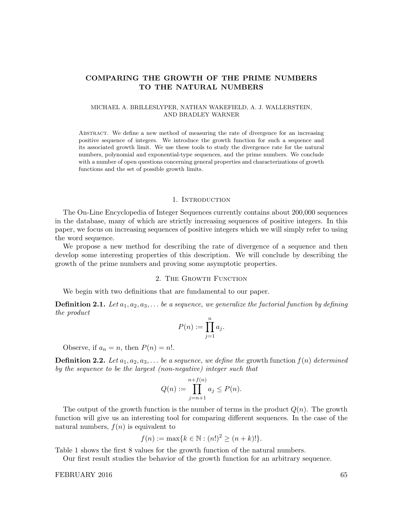# COMPARING THE GROWTH OF THE PRIME NUMBERS TO THE NATURAL NUMBERS

### MICHAEL A. BRILLESLYPER, NATHAN WAKEFIELD, A. J. WALLERSTEIN, AND BRADLEY WARNER

Abstract. We define a new method of measuring the rate of divergence for an increasing positive sequence of integers. We introduce the growth function for such a sequence and its associated growth limit. We use these tools to study the divergence rate for the natural numbers, polynomial and exponential-type sequences, and the prime numbers. We conclude with a number of open questions concerning general properties and characterizations of growth functions and the set of possible growth limits.

### 1. INTRODUCTION

The On-Line Encyclopedia of Integer Sequences currently contains about 200,000 sequences in the database, many of which are strictly increasing sequences of positive integers. In this paper, we focus on increasing sequences of positive integers which we will simply refer to using the word sequence.

We propose a new method for describing the rate of divergence of a sequence and then develop some interesting properties of this description. We will conclude by describing the growth of the prime numbers and proving some asymptotic properties.

## 2. The Growth Function

We begin with two definitions that are fundamental to our paper.

**Definition 2.1.** Let  $a_1, a_2, a_3, \ldots$  be a sequence, we generalize the factorial function by defining the product

$$
P(n) := \prod_{j=1}^{n} a_j.
$$

Observe, if  $a_n = n$ , then  $P(n) = n!$ .

**Definition 2.2.** Let  $a_1, a_2, a_3, \ldots$  be a sequence, we define the growth function  $f(n)$  determined by the sequence to be the largest (non-negative) integer such that

$$
Q(n) := \prod_{j=n+1}^{n+f(n)} a_j \le P(n).
$$

The output of the growth function is the number of terms in the product  $Q(n)$ . The growth function will give us an interesting tool for comparing different sequences. In the case of the natural numbers,  $f(n)$  is equivalent to

$$
f(n) := \max\{k \in \mathbb{N} : (n!)^2 \ge (n+k)!\}.
$$

Table 1 shows the first 8 values for the growth function of the natural numbers.

Our first result studies the behavior of the growth function for an arbitrary sequence.

FEBRUARY 2016 65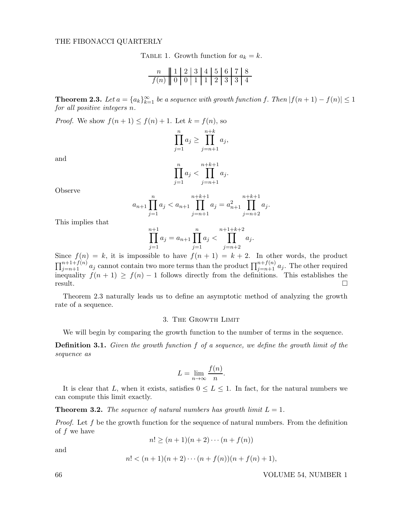TABLE 1. Growth function for  $a_k = k$ .

n 1 2 3 4 5 6 7 8 f(n) 0 0 1 1 2 3 3 4

**Theorem 2.3.** Let  $a = \{a_k\}_{k=1}^{\infty}$  be a sequence with growth function f. Then  $|f(n+1) - f(n)| \leq 1$ for all positive integers n.

*Proof.* We show  $f(n+1) \leq f(n) + 1$ . Let  $k = f(n)$ , so

$$
\prod_{j=1}^{n} a_j \ge \prod_{j=n+1}^{n+k} a_j,
$$

and

$$
\prod_{j=1}^{n} a_j < \prod_{j=n+1}^{n+k+1} a_j.
$$

Observe

$$
a_{n+1} \prod_{j=1}^{n} a_j < a_{n+1} \prod_{j=n+1}^{n+k+1} a_j = a_{n+1}^2 \prod_{j=n+2}^{n+k+1} a_j.
$$

This implies that

$$
\prod_{j=1}^{n+1} a_j = a_{n+1} \prod_{j=1}^n a_j < \prod_{j=n+2}^{n+1+k+2} a_j.
$$

Since  $f(n) = k$ , it is impossible to have  $f(n + 1) = k + 2$ . In other words, the product  $\prod_{j=n+1}^{n+1+f(n)} a_j$  cannot contain two more terms than the product  $\prod_{j=n+1}^{n+f(n)} a_j$ . The other required inequality  $f(n + 1) \ge f(n) - 1$  follows directly from the definitions. This establishes the result.  $r$ esult.

Theorem 2.3 naturally leads us to define an asymptotic method of analyzing the growth rate of a sequence.

#### 3. The Growth Limit

We will begin by comparing the growth function to the number of terms in the sequence.

**Definition 3.1.** Given the growth function f of a sequence, we define the growth limit of the sequence as

$$
L = \lim_{n \to \infty} \frac{f(n)}{n}.
$$

It is clear that L, when it exists, satisfies  $0 \leq L \leq 1$ . In fact, for the natural numbers we can compute this limit exactly.

**Theorem 3.2.** The sequence of natural numbers has growth limit  $L = 1$ .

*Proof.* Let f be the growth function for the sequence of natural numbers. From the definition of f we have

 $n! > (n+1)(n+2)\cdots(n+f(n))$ 

and

$$
n! < (n+1)(n+2)\cdots(n+f(n))(n+f(n)+1),
$$

## 66 VOLUME 54, NUMBER 1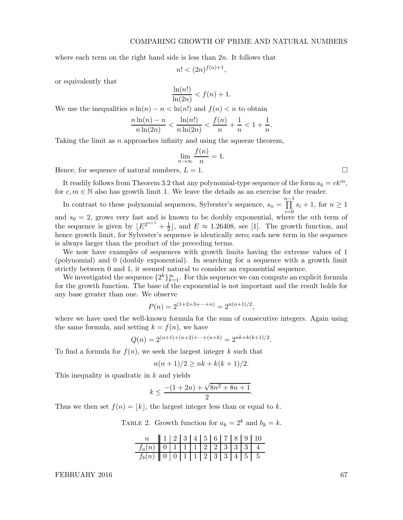#### COMPARING GROWTH OF PRIME AND NATURAL NUMBERS

,

where each term on the right hand side is less than  $2n$ . It follows that

$$
n! < (2n)^{f(n)+1}
$$

or equivalently that

$$
\frac{\ln(n!)}{\ln(2n)} < f(n) + 1.
$$

We use the inequalities  $n \ln(n) - n < \ln(n!)$  and  $f(n) < n$  to obtain

$$
\frac{n\ln(n) - n}{n\ln(2n)} < \frac{\ln(n!)}{n\ln(2n)} < \frac{f(n)}{n} + \frac{1}{n} < 1 + \frac{1}{n}.
$$

Taking the limit as  $n$  approaches infinity and using the squeeze theorem,

$$
\lim_{n \to \infty} \frac{f(n)}{n} = 1.
$$

Hence, for sequence of natural numbers,  $L = 1$ .

It readily follows from Theorem 3.2 that any polynomial-type sequence of the form  $a_k = ck^m$ , for  $c, m \in \mathbb{N}$  also has growth limit 1. We leave the details as an exercise for the reader.

In contrast to these polynomial sequences, Sylvester's sequence,  $s_n = \prod_{i=1}^{n-1} s_i + 1$ , for  $n \ge 1$ and  $s_0 = 2$ , grows very fast and is known to be doubly exponential, where the *n*th term of the sequence is given by  $\lfloor E^{2^{n+1}} + \frac{1}{2} \rfloor$  $\frac{1}{2}$ , and  $E \approx 1.26408$ , see [1]. The growth function, and hence growth limit, for Sylvester's sequence is identically zero; each new term in the sequence is always larger than the product of the preceding terms.

We now have examples of sequences with growth limits having the extreme values of 1 (polynomial) and 0 (doubly exponential). In searching for a sequence with a growth limit strictly between 0 and 1, it seemed natural to consider an exponential sequence.

We investigated the sequence  $\{2^k\}_{k=1}^{\infty}$ . For this sequence we can compute an explicit formula for the growth function. The base of the exponential is not important and the result holds for any base greater than one. We observe

$$
P(n) = 2^{(1+2+3+\cdots+n)} = 2^{n(n+1)/2},
$$

where we have used the well-known formula for the sum of consecutive integers. Again using the same formula, and setting  $k = f(n)$ , we have

$$
Q(n) = 2^{(n+1)+(n+2)+\dots+(n+k)} = 2^{nk+k(k+1)/2}.
$$

To find a formula for  $f(n)$ , we seek the largest integer k such that

$$
n(n+1)/2 \ge nk + k(k+1)/2.
$$

This inequality is quadratic in k and yields

$$
k \le \frac{-(1+2n) + \sqrt{8n^2 + 8n + 1}}{2}.
$$

Thus we then set  $f(n) = |k|$ , the largest integer less than or equal to k.

TABLE 2. Growth function for  $a_k = 2^k$  and  $b_k = k$ .

|                                                  |  |  |  |  | 12345678910 |
|--------------------------------------------------|--|--|--|--|-------------|
| $f_a(n)$ 0 1 1 1 2 2 3 3 3 4                     |  |  |  |  |             |
| $f_b(n)$   0   0   1   1   2   3   3   4   5   5 |  |  |  |  |             |

FEBRUARY 2016 67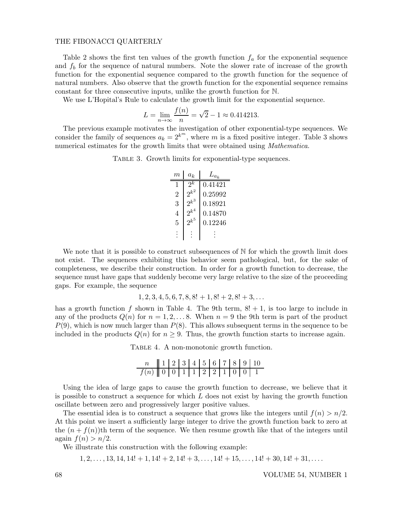#### THE FIBONACCI QUARTERLY

Table 2 shows the first ten values of the growth function  $f_a$  for the exponential sequence and  $f_b$  for the sequence of natural numbers. Note the slower rate of increase of the growth function for the exponential sequence compared to the growth function for the sequence of natural numbers. Also observe that the growth function for the exponential sequence remains constant for three consecutive inputs, unlike the growth function for N.

We use L'Hopital's Rule to calculate the growth limit for the exponential sequence.

$$
L = \lim_{n \to \infty} \frac{f(n)}{n} = \sqrt{2} - 1 \approx 0.414213.
$$

The previous example motivates the investigation of other exponential-type sequences. We consider the family of sequences  $a_k = 2^{k^m}$ , where m is a fixed positive integer. Table 3 shows numerical estimates for the growth limits that were obtained using *Mathematica*.

TABLE 3. Growth limits for exponential-type sequences.

| m | $a_k$         | $L_{a_k}$ |
|---|---------------|-----------|
| 1 | $\mathcal{R}$ | 0.41421   |
| 2 | $2^{k^2}$     | 0.25992   |
| 3 | $2^{k^3}$     | 0.18921   |
| 4 | $2^{k^4}$     | 0.14870   |
| 5 | $2^{k^5}$     | 0.12246   |
|   |               |           |

We note that it is possible to construct subsequences of  $N$  for which the growth limit does not exist. The sequences exhibiting this behavior seem pathological, but, for the sake of completeness, we describe their construction. In order for a growth function to decrease, the sequence must have gaps that suddenly become very large relative to the size of the proceeding gaps. For example, the sequence

$$
1, 2, 3, 4, 5, 6, 7, 8, 8! + 1, 8! + 2, 8! + 3, \dots
$$

has a growth function f shown in Table 4. The 9th term,  $8! + 1$ , is too large to include in any of the products  $Q(n)$  for  $n = 1, 2, \ldots, 8$ . When  $n = 9$  the 9th term is part of the product  $P(9)$ , which is now much larger than  $P(8)$ . This allows subsequent terms in the sequence to be included in the products  $Q(n)$  for  $n \geq 9$ . Thus, the growth function starts to increase again.

TABLE 4. A non-monotonic growth function.

|                            |  |  |  |  | $\ 1\ 2\ 3\ 4\ 5\ 6\ 7\ 8\ 9\ 10$ |
|----------------------------|--|--|--|--|-----------------------------------|
| $f(n)$ 0 0 1 1 2 2 1 0 0 1 |  |  |  |  |                                   |

Using the idea of large gaps to cause the growth function to decrease, we believe that it is possible to construct a sequence for which  $L$  does not exist by having the growth function oscillate between zero and progressively larger positive values.

The essential idea is to construct a sequence that grows like the integers until  $f(n) > n/2$ . At this point we insert a sufficiently large integer to drive the growth function back to zero at the  $(n + f(n))$ th term of the sequence. We then resume growth like that of the integers until again  $f(n) > n/2$ .

We illustrate this construction with the following example:

 $1, 2, \ldots, 13, 14, 14! + 1, 14! + 2, 14! + 3, \ldots, 14! + 15, \ldots, 14! + 30, 14! + 31, \ldots$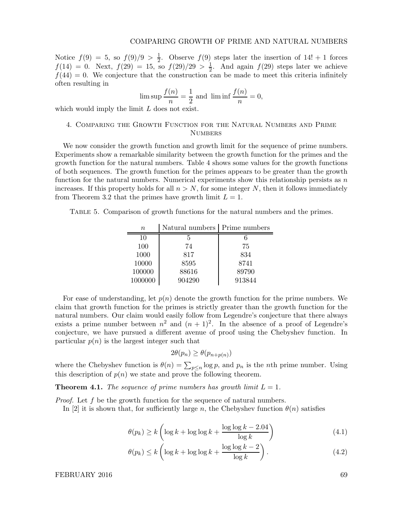Notice  $f(9) = 5$ , so  $f(9)/9 > \frac{1}{2}$  $\frac{1}{2}$ . Observe  $f(9)$  steps later the insertion of  $14! + 1$  forces  $f(14) = 0$ . Next,  $f(29) = 15$ , so  $f(29)/29 > \frac{1}{2}$ . And again  $f(29)$  steps later we achieve  $f(44) = 0$ . We conjecture that the construction can be made to meet this criteria infinitely often resulting in

$$
\limsup \frac{f(n)}{n} = \frac{1}{2} \text{ and } \liminf \frac{f(n)}{n} = 0,
$$

which would imply the limit L does not exist.

# 4. Comparing the Growth Function for the Natural Numbers and Prime **NUMBERS**

We now consider the growth function and growth limit for the sequence of prime numbers. Experiments show a remarkable similarity between the growth function for the primes and the growth function for the natural numbers. Table 4 shows some values for the growth functions of both sequences. The growth function for the primes appears to be greater than the growth function for the natural numbers. Numerical experiments show this relationship persists as  $n$ increases. If this property holds for all  $n > N$ , for some integer N, then it follows immediately from Theorem 3.2 that the primes have growth limit  $L = 1$ .

Table 5. Comparison of growth functions for the natural numbers and the primes.

| $\eta$  | Natural numbers   Prime numbers |        |
|---------|---------------------------------|--------|
| 10      | 5                               |        |
| 100     | 74                              | 75     |
| 1000    | 817                             | 834    |
| 10000   | 8595                            | 8741   |
| 100000  | 88616                           | 89790  |
| 1000000 | 904290                          | 913844 |

For ease of understanding, let  $p(n)$  denote the growth function for the prime numbers. We claim that growth function for the primes is strictly greater than the growth function for the natural numbers. Our claim would easily follow from Legendre's conjecture that there always exists a prime number between  $n^2$  and  $(n+1)^2$ . In the absence of a proof of Legendre's conjecture, we have pursued a different avenue of proof using the Chebyshev function. In particular  $p(n)$  is the largest integer such that

$$
2\theta(p_n) \ge \theta(p_{n+p(n)})
$$

where the Chebyshev function is  $\theta(n) = \sum_{p \leq n} \log p$ , and  $p_n$  is the *n*th prime number. Using this description of  $p(n)$  we state and prove the following theorem.

**Theorem 4.1.** The sequence of prime numbers has growth limit  $L = 1$ .

*Proof.* Let  $f$  be the growth function for the sequence of natural numbers.

In [2] it is shown that, for sufficiently large n, the Chebyshev function  $\theta(n)$  satisfies

$$
\theta(p_k) \ge k \left( \log k + \log \log k + \frac{\log \log k - 2.04}{\log k} \right) \tag{4.1}
$$

$$
\theta(p_k) \le k \left( \log k + \log \log k + \frac{\log \log k - 2}{\log k} \right). \tag{4.2}
$$

FEBRUARY 2016 69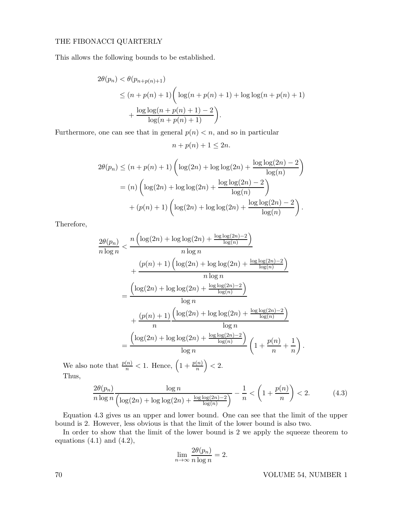## THE FIBONACCI QUARTERLY

This allows the following bounds to be established.

$$
2\theta(p_n) < \theta(p_{n+p(n)+1})
$$
  
\n
$$
\leq (n+p(n)+1) \left( \log(n+p(n)+1) + \log \log(n+p(n)+1) + \frac{\log \log(n+p(n)+1) - 2}{\log(n+p(n)+1)} \right).
$$

Furthermore, one can see that in general  $p(n) < n$ , and so in particular

 $n + p(n) + 1 \leq 2n$ .

$$
2\theta(p_n) \le (n + p(n) + 1) \left( \log(2n) + \log \log(2n) + \frac{\log \log(2n) - 2}{\log(n)} \right)
$$
  
= (n)  $\left( \log(2n) + \log \log(2n) + \frac{\log \log(2n) - 2}{\log(n)} \right)$   
+ (p(n) + 1)  $\left( \log(2n) + \log \log(2n) + \frac{\log \log(2n) - 2}{\log(n)} \right)$ .

Therefore,

$$
\frac{2\theta(p_n)}{n \log n} < \frac{n \left( \log(2n) + \log \log(2n) + \frac{\log \log(2n) - 2}{\log(n)} \right)}{n \log n} + \frac{(p(n+1) \left( \log(2n) + \log \log(2n) + \frac{\log \log(2n) - 2}{\log(n)} \right)}{n \log n} - \frac{\left( \log(2n) + \log \log(2n) + \frac{\log \log(2n) - 2}{\log(n)} \right)}{\log n} + \frac{(p(n+1) \left( \log(2n) + \log \log(2n) + \frac{\log \log(2n) - 2}{\log(n)} \right)}{\log n} - \frac{\left( \log(2n) + \log \log(2n) + \frac{\log \log(2n) - 2}{\log(n)} \right)}{\log n} \left( 1 + \frac{p(n+1)}{n} + \frac{1}{n} \right)
$$

We also note that  $\frac{p(n)}{n} < 1$ . Hence,  $\left(1 + \frac{p(n)}{n}\right) < 2$ . Thus,

$$
\frac{2\theta(p_n)}{n\log n} \frac{\log n}{\left(\log(2n) + \log\log(2n) + \frac{\log\log(2n) - 2}{\log(n)}\right)} - \frac{1}{n} < \left(1 + \frac{p(n)}{n}\right) < 2. \tag{4.3}
$$

Equation 4.3 gives us an upper and lower bound. One can see that the limit of the upper bound is 2. However, less obvious is that the limit of the lower bound is also two.

In order to show that the limit of the lower bound is 2 we apply the squeeze theorem to equations  $(4.1)$  and  $(4.2)$ ,

$$
\lim_{n \to \infty} \frac{2\theta(p_n)}{n \log n} = 2.
$$

.